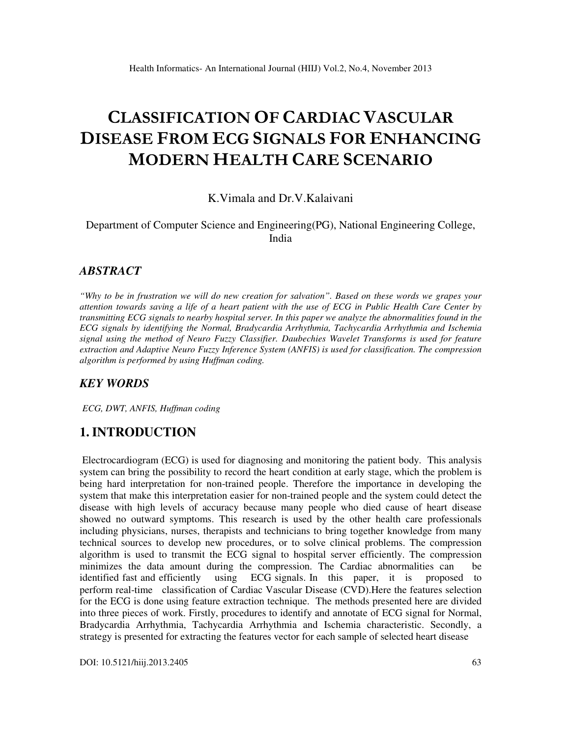# CLASSIFICATION OF CARDIAC VASCULAR DISEASE FROM ECG SIGNALS FOR ENHANCING MODERN HEALTH CARE SCENARIO

# K.Vimala and Dr.V.Kalaivani

# Department of Computer Science and Engineering(PG), National Engineering College, India

# *ABSTRACT*

*"Why to be in frustration we will do new creation for salvation". Based on these words we grapes your attention towards saving a life of a heart patient with the use of ECG in Public Health Care Center by transmitting ECG signals to nearby hospital server. In this paper we analyze the abnormalities found in the ECG signals by identifying the Normal, Bradycardia Arrhythmia, Tachycardia Arrhythmia and Ischemia signal using the method of Neuro Fuzzy Classifier. Daubechies Wavelet Transforms is used for feature extraction and Adaptive Neuro Fuzzy Inference System (ANFIS) is used for classification. The compression algorithm is performed by using Huffman coding.* 

# *KEY WORDS*

*ECG, DWT, ANFIS, Huffman coding* 

# **1. INTRODUCTION**

Electrocardiogram (ECG) is used for diagnosing and monitoring the patient body. This analysis system can bring the possibility to record the heart condition at early stage, which the problem is being hard interpretation for non-trained people. Therefore the importance in developing the system that make this interpretation easier for non-trained people and the system could detect the disease with high levels of accuracy because many people who died cause of heart disease showed no outward symptoms. This research is used by the other health care professionals including physicians, nurses, therapists and technicians to bring together knowledge from many technical sources to develop new procedures, or to solve clinical problems. The compression algorithm is used to transmit the ECG signal to hospital server efficiently. The compression minimizes the data amount during the compression. The Cardiac abnormalities can be identified fast and efficiently using ECG signals. In this paper, it is proposed to perform real-time classification of Cardiac Vascular Disease (CVD).Here the features selection for the ECG is done using feature extraction technique. The methods presented here are divided into three pieces of work. Firstly, procedures to identify and annotate of ECG signal for Normal, Bradycardia Arrhythmia, Tachycardia Arrhythmia and Ischemia characteristic. Secondly, a strategy is presented for extracting the features vector for each sample of selected heart disease

DOI: 10.5121/hiij.2013.2405 63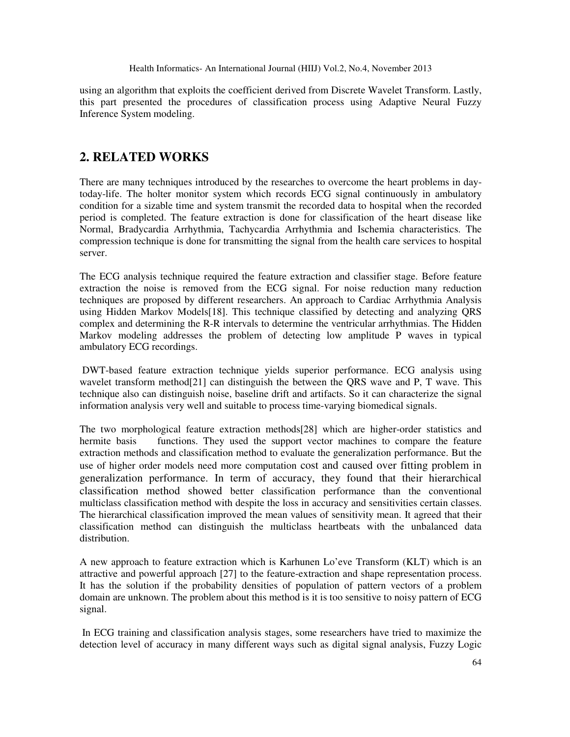using an algorithm that exploits the coefficient derived from Discrete Wavelet Transform. Lastly, this part presented the procedures of classification process using Adaptive Neural Fuzzy Inference System modeling.

# **2. RELATED WORKS**

There are many techniques introduced by the researches to overcome the heart problems in daytoday-life. The holter monitor system which records ECG signal continuously in ambulatory condition for a sizable time and system transmit the recorded data to hospital when the recorded period is completed. The feature extraction is done for classification of the heart disease like Normal, Bradycardia Arrhythmia, Tachycardia Arrhythmia and Ischemia characteristics. The compression technique is done for transmitting the signal from the health care services to hospital server.

The ECG analysis technique required the feature extraction and classifier stage. Before feature extraction the noise is removed from the ECG signal. For noise reduction many reduction techniques are proposed by different researchers. An approach to Cardiac Arrhythmia Analysis using Hidden Markov Models[18]. This technique classified by detecting and analyzing QRS complex and determining the R-R intervals to determine the ventricular arrhythmias. The Hidden Markov modeling addresses the problem of detecting low amplitude P waves in typical ambulatory ECG recordings.

 DWT-based feature extraction technique yields superior performance. ECG analysis using wavelet transform method<sup>[21]</sup> can distinguish the between the QRS wave and P, T wave. This technique also can distinguish noise, baseline drift and artifacts. So it can characterize the signal information analysis very well and suitable to process time-varying biomedical signals.

The two morphological feature extraction methods[28] which are higher-order statistics and hermite basis functions. They used the support vector machines to compare the feature extraction methods and classification method to evaluate the generalization performance. But the use of higher order models need more computation cost and caused over fitting problem in generalization performance. In term of accuracy, they found that their hierarchical classification method showed better classification performance than the conventional multiclass classification method with despite the loss in accuracy and sensitivities certain classes. The hierarchical classification improved the mean values of sensitivity mean. It agreed that their classification method can distinguish the multiclass heartbeats with the unbalanced data distribution.

A new approach to feature extraction which is Karhunen Lo'eve Transform (KLT) which is an attractive and powerful approach [27] to the feature-extraction and shape representation process. It has the solution if the probability densities of population of pattern vectors of a problem domain are unknown. The problem about this method is it is too sensitive to noisy pattern of ECG signal.

 In ECG training and classification analysis stages, some researchers have tried to maximize the detection level of accuracy in many different ways such as digital signal analysis, Fuzzy Logic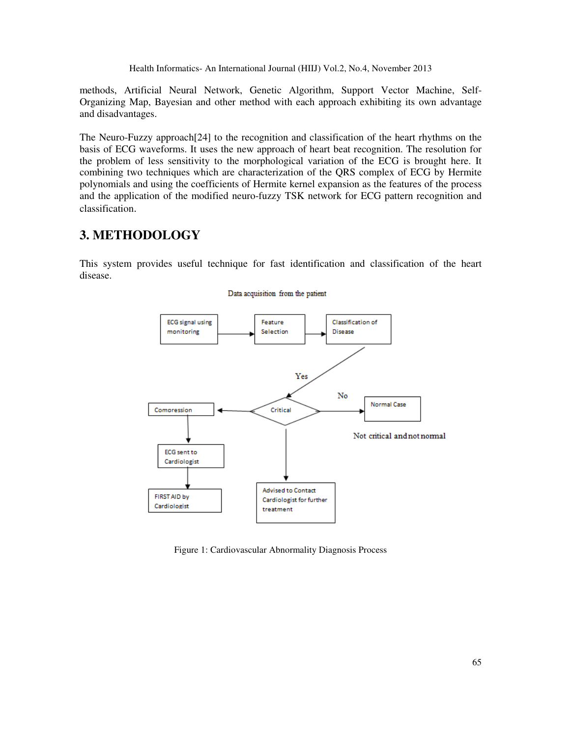methods, Artificial Neural Network, Genetic Algorithm, Support Vector Machine, Self-Organizing Map, Bayesian and other method with each approach exhibiting its own advantage and disadvantages.

The Neuro-Fuzzy approach[24] to the recognition and classification of the heart rhythms on the basis of ECG waveforms. It uses the new approach of heart beat recognition. The resolution for the problem of less sensitivity to the morphological variation of the ECG is brought here. It combining two techniques which are characterization of the QRS complex of ECG by Hermite polynomials and using the coefficients of Hermite kernel expansion as the features of the process and the application of the modified neuro-fuzzy TSK network for ECG pattern recognition and classification.

# **3. METHODOLOGY**

This system provides useful technique for fast identification and classification of the heart disease.

#### Data acquisition from the patient



Figure 1: Cardiovascular Abnormality Diagnosis Process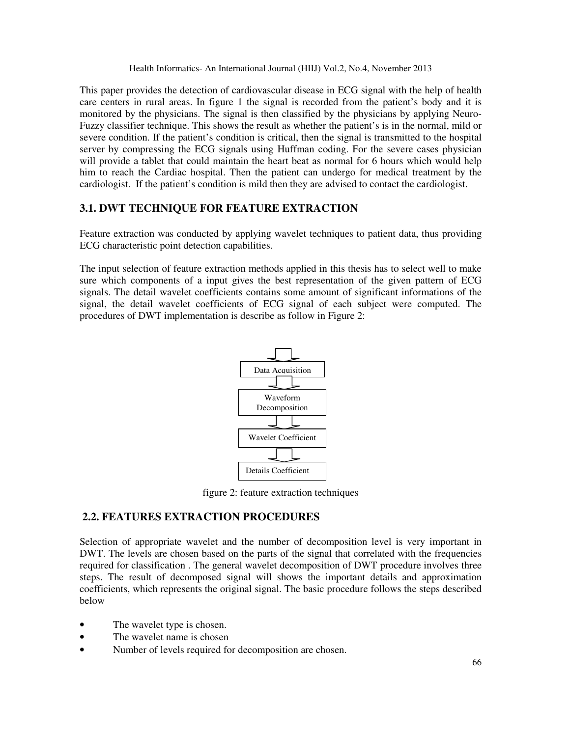This paper provides the detection of cardiovascular disease in ECG signal with the help of health care centers in rural areas. In figure 1 the signal is recorded from the patient's body and it is monitored by the physicians. The signal is then classified by the physicians by applying Neuro-Fuzzy classifier technique. This shows the result as whether the patient's is in the normal, mild or severe condition. If the patient's condition is critical, then the signal is transmitted to the hospital server by compressing the ECG signals using Huffman coding. For the severe cases physician will provide a tablet that could maintain the heart beat as normal for 6 hours which would help him to reach the Cardiac hospital. Then the patient can undergo for medical treatment by the cardiologist. If the patient's condition is mild then they are advised to contact the cardiologist.

# **3.1. DWT TECHNIQUE FOR FEATURE EXTRACTION**

Feature extraction was conducted by applying wavelet techniques to patient data, thus providing ECG characteristic point detection capabilities.

The input selection of feature extraction methods applied in this thesis has to select well to make sure which components of a input gives the best representation of the given pattern of ECG signals. The detail wavelet coefficients contains some amount of significant informations of the signal, the detail wavelet coefficients of ECG signal of each subject were computed. The procedures of DWT implementation is describe as follow in Figure 2:



figure 2: feature extraction techniques

# **2.2. FEATURES EXTRACTION PROCEDURES**

Selection of appropriate wavelet and the number of decomposition level is very important in DWT. The levels are chosen based on the parts of the signal that correlated with the frequencies required for classification . The general wavelet decomposition of DWT procedure involves three steps. The result of decomposed signal will shows the important details and approximation coefficients, which represents the original signal. The basic procedure follows the steps described below

- The wavelet type is chosen.
- The wavelet name is chosen
- Number of levels required for decomposition are chosen.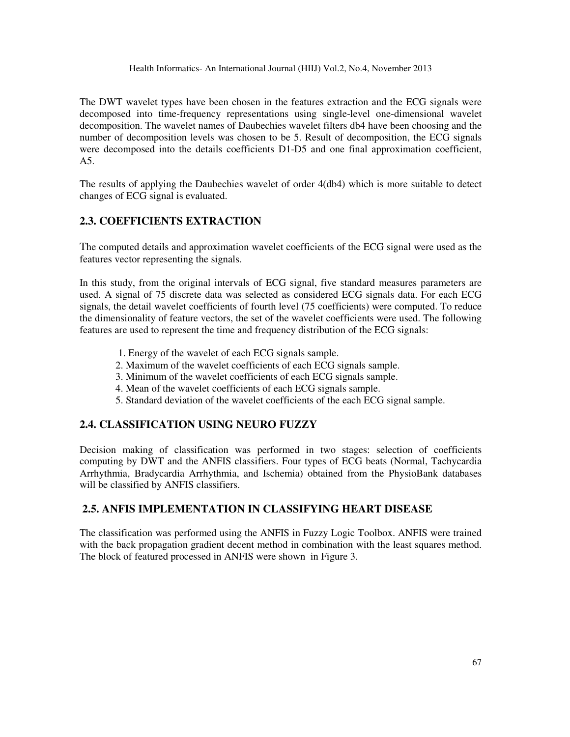The DWT wavelet types have been chosen in the features extraction and the ECG signals were decomposed into time-frequency representations using single-level one-dimensional wavelet decomposition. The wavelet names of Daubechies wavelet filters db4 have been choosing and the number of decomposition levels was chosen to be 5. Result of decomposition, the ECG signals were decomposed into the details coefficients D1-D5 and one final approximation coefficient, A5.

The results of applying the Daubechies wavelet of order 4(db4) which is more suitable to detect changes of ECG signal is evaluated.

# **2.3. COEFFICIENTS EXTRACTION**

The computed details and approximation wavelet coefficients of the ECG signal were used as the features vector representing the signals.

In this study, from the original intervals of ECG signal, five standard measures parameters are used. A signal of 75 discrete data was selected as considered ECG signals data. For each ECG signals, the detail wavelet coefficients of fourth level (75 coefficients) were computed. To reduce the dimensionality of feature vectors, the set of the wavelet coefficients were used. The following features are used to represent the time and frequency distribution of the ECG signals:

- 1. Energy of the wavelet of each ECG signals sample.
- 2. Maximum of the wavelet coefficients of each ECG signals sample.
- 3. Minimum of the wavelet coefficients of each ECG signals sample.
- 4. Mean of the wavelet coefficients of each ECG signals sample.
- 5. Standard deviation of the wavelet coefficients of the each ECG signal sample.

# **2.4. CLASSIFICATION USING NEURO FUZZY**

Decision making of classification was performed in two stages: selection of coefficients computing by DWT and the ANFIS classifiers. Four types of ECG beats (Normal, Tachycardia Arrhythmia, Bradycardia Arrhythmia, and Ischemia) obtained from the PhysioBank databases will be classified by ANFIS classifiers.

# **2.5. ANFIS IMPLEMENTATION IN CLASSIFYING HEART DISEASE**

The classification was performed using the ANFIS in Fuzzy Logic Toolbox. ANFIS were trained with the back propagation gradient decent method in combination with the least squares method. The block of featured processed in ANFIS were shown in Figure 3.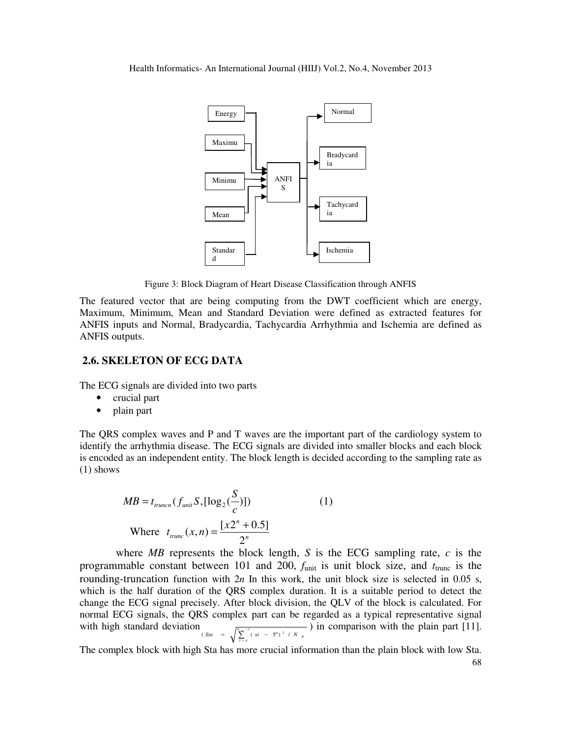

Figure 3: Block Diagram of Heart Disease Classification through ANFIS

The featured vector that are being computing from the DWT coefficient which are energy, Maximum, Minimum, Mean and Standard Deviation were defined as extracted features for ANFIS inputs and Normal, Bradycardia, Tachycardia Arrhythmia and Ischemia are defined as ANFIS outputs.

### **2.6. SKELETON OF ECG DATA**

The ECG signals are divided into two parts

- crucial part
- plain part

The QRS complex waves and P and T waves are the important part of the cardiology system to identify the arrhythmia disease. The ECG signals are divided into smaller blocks and each block is encoded as an independent entity. The block length is decided according to the sampling rate as (1) shows

$$
MB = t_{truncn}(f_{unit}S, [\log_2(\frac{S}{c})])
$$
 (1)  
Where  $t_{trunc}(x, n) = \frac{[x2^n + 0.5]}{2^n}$ 

 where *MB* represents the block length, *S* is the ECG sampling rate, *c* is the programmable constant between 101 and 200,  $f_{\text{unit}}$  is unit block size, and  $t_{\text{trunc}}$  is the rounding-truncation function with 2*n* In this work, the unit block size is selected in 0.05 s, which is the half duration of the QRS complex duration. It is a suitable period to detect the change the ECG signal precisely. After block division, the QLV of the block is calculated. For normal ECG signals, the QRS complex part can be regarded as a typical representative signal with high standard deviation  $(Sia) = \sqrt{\sum_{i=1}^{N-1} S_i}$  $= \sqrt{\sum_{l=0}^{N_B-1} (xi - l)}$ 0  $(Sta = \sqrt{\sum_{k=1}^{N_B-1} (xi - \overline{x})^2})$ *Sta* =  $\sqrt{\sum_{i=0}^{N_{n-1}} (xi - \overline{x})^2 / N_{B}}$  in comparison with the plain part [11].

68 The complex block with high Sta has more crucial information than the plain block with low Sta.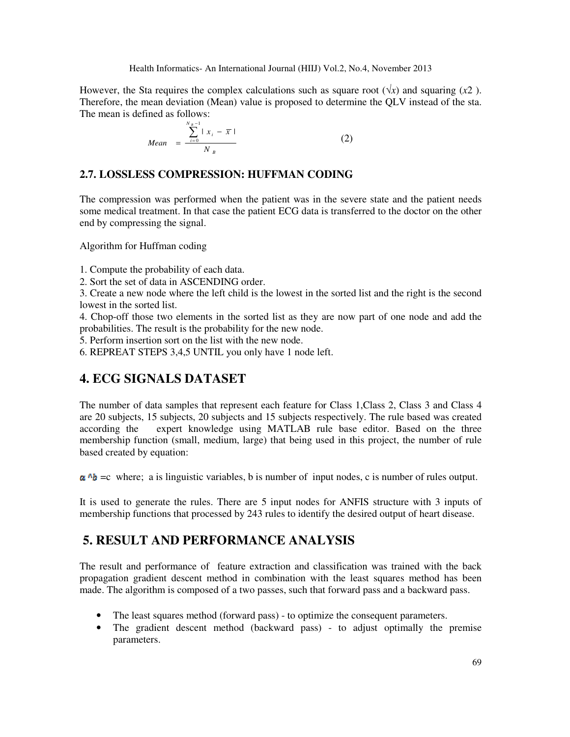However, the Sta requires the complex calculations such as square root  $(\sqrt{x})$  and squaring  $(x2)$ . Therefore, the mean deviation (Mean) value is proposed to determine the QLV instead of the sta. The mean is defined as follows:

Mean 
$$
= \frac{\sum_{i=0}^{N_B - 1} |x_i - \overline{x}|}{N_B}
$$
 (2)

### **2.7. LOSSLESS COMPRESSION: HUFFMAN CODING**

The compression was performed when the patient was in the severe state and the patient needs some medical treatment. In that case the patient ECG data is transferred to the doctor on the other end by compressing the signal.

Algorithm for Huffman coding

1. Compute the probability of each data.

2. Sort the set of data in ASCENDING order.

3. Create a new node where the left child is the lowest in the sorted list and the right is the second lowest in the sorted list.

4. Chop-off those two elements in the sorted list as they are now part of one node and add the probabilities. The result is the probability for the new node.

5. Perform insertion sort on the list with the new node.

6. REPREAT STEPS 3,4,5 UNTIL you only have 1 node left.

# **4. ECG SIGNALS DATASET**

The number of data samples that represent each feature for Class 1,Class 2, Class 3 and Class 4 are 20 subjects, 15 subjects, 20 subjects and 15 subjects respectively. The rule based was created according the expert knowledge using MATLAB rule base editor. Based on the three membership function (small, medium, large) that being used in this project, the number of rule based created by equation:

 $a^{\text{A}}b = c$  where; a is linguistic variables, b is number of input nodes, c is number of rules output.

It is used to generate the rules. There are 5 input nodes for ANFIS structure with 3 inputs of membership functions that processed by 243 rules to identify the desired output of heart disease.

# **5. RESULT AND PERFORMANCE ANALYSIS**

The result and performance of feature extraction and classification was trained with the back propagation gradient descent method in combination with the least squares method has been made. The algorithm is composed of a two passes, such that forward pass and a backward pass.

- The least squares method (forward pass) to optimize the consequent parameters.
- The gradient descent method (backward pass) to adjust optimally the premise parameters.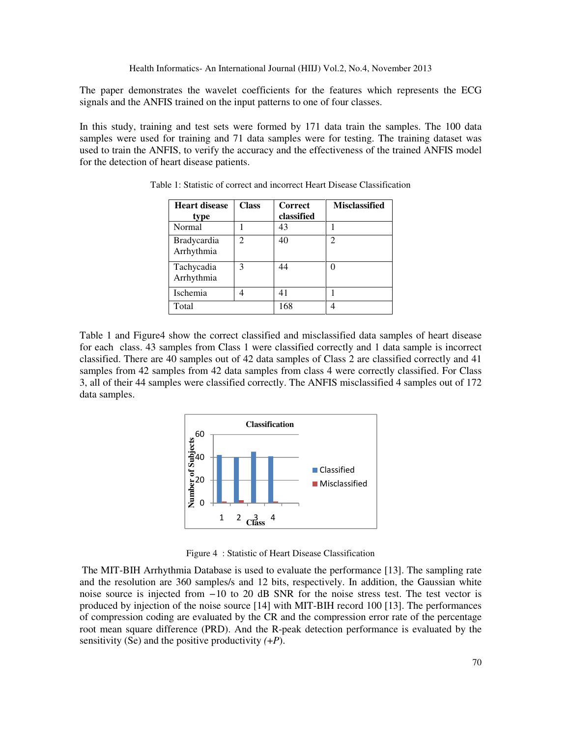The paper demonstrates the wavelet coefficients for the features which represents the ECG signals and the ANFIS trained on the input patterns to one of four classes.

In this study, training and test sets were formed by 171 data train the samples. The 100 data samples were used for training and 71 data samples were for testing. The training dataset was used to train the ANFIS, to verify the accuracy and the effectiveness of the trained ANFIS model for the detection of heart disease patients.

| <b>Heart disease</b><br>type     | <b>Class</b>   | <b>Correct</b><br>classified | <b>Misclassified</b> |
|----------------------------------|----------------|------------------------------|----------------------|
| <b>Normal</b>                    |                | 43                           |                      |
| <b>Bradycardia</b><br>Arrhythmia | $\mathfrak{D}$ | 40                           | $\mathfrak{D}$       |
| Tachycadia<br>Arrhythmia         | 3              | 44                           |                      |
| Ischemia                         |                | 41                           |                      |
| Total                            |                | 168                          |                      |

Table 1: Statistic of correct and incorrect Heart Disease Classification

Table 1 and Figure4 show the correct classified and misclassified data samples of heart disease for each class. 43 samples from Class 1 were classified correctly and 1 data sample is incorrect classified. There are 40 samples out of 42 data samples of Class 2 are classified correctly and 41 samples from 42 samples from 42 data samples from class 4 were correctly classified. For Class 3, all of their 44 samples were classified correctly. The ANFIS misclassified 4 samples out of 172 data samples.



Figure 4 : Statistic of Heart Disease Classification

The MIT-BIH Arrhythmia Database is used to evaluate the performance [13]. The sampling rate and the resolution are 360 samples/s and 12 bits, respectively. In addition, the Gaussian white noise source is injected from *−*10 to 20 dB SNR for the noise stress test. The test vector is produced by injection of the noise source [14] with MIT-BIH record 100 [13]. The performances of compression coding are evaluated by the CR and the compression error rate of the percentage root mean square difference (PRD). And the R-peak detection performance is evaluated by the sensitivity (Se) and the positive productivity *(*+*P*).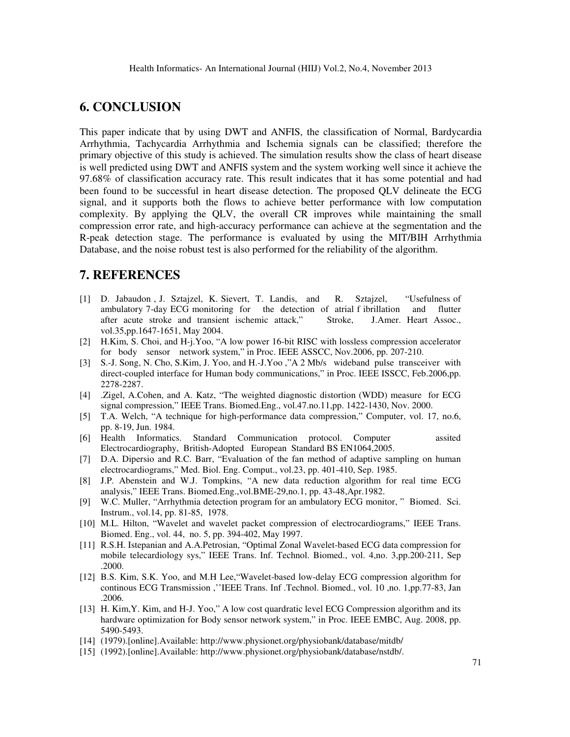# **6. CONCLUSION**

This paper indicate that by using DWT and ANFIS, the classification of Normal, Bardycardia Arrhythmia, Tachycardia Arrhythmia and Ischemia signals can be classified; therefore the primary objective of this study is achieved. The simulation results show the class of heart disease is well predicted using DWT and ANFIS system and the system working well since it achieve the 97.68% of classification accuracy rate. This result indicates that it has some potential and had been found to be successful in heart disease detection. The proposed QLV delineate the ECG signal, and it supports both the flows to achieve better performance with low computation complexity. By applying the QLV, the overall CR improves while maintaining the small compression error rate, and high-accuracy performance can achieve at the segmentation and the R-peak detection stage. The performance is evaluated by using the MIT/BIH Arrhythmia Database, and the noise robust test is also performed for the reliability of the algorithm.

# **7. REFERENCES**

- [1] D. Jabaudon , J. Sztajzel, K. Sievert, T. Landis, and R. Sztajzel, "Usefulness of ambulatory 7-day ECG monitoring for the detection of atrial f ibrillation and flutter after acute stroke and transient ischemic attack," Stroke, J.Amer. Heart Assoc., vol.35,pp.1647-1651, May 2004.
- [2] H.Kim, S. Choi, and H-j.Yoo, "A low power 16-bit RISC with lossless compression accelerator for body sensor network system," in Proc. IEEE ASSCC, Nov.2006, pp. 207-210.
- [3] S.-J. Song, N. Cho, S.Kim, J. Yoo, and H.-J.Yoo ,"A 2 Mb/s wideband pulse transceiver with direct-coupled interface for Human body communications," in Proc. IEEE ISSCC, Feb.2006,pp. 2278-2287.
- [4] .Zigel, A.Cohen, and A. Katz, "The weighted diagnostic distortion (WDD) measure for ECG signal compression," IEEE Trans. Biomed.Eng., vol.47.no.11,pp. 1422-1430, Nov. 2000.
- [5] T.A. Welch, "A technique for high-performance data compression," Computer, vol. 17, no.6, pp. 8-19, Jun. 1984.
- [6] Health Informatics. Standard Communication protocol. Computer assited Electrocardiography, British-Adopted European Standard BS EN1064,2005.
- [7] D.A. Dipersio and R.C. Barr, "Evaluation of the fan method of adaptive sampling on human electrocardiograms," Med. Biol. Eng. Comput., vol.23, pp. 401-410, Sep. 1985.
- [8] J.P. Abenstein and W.J. Tompkins, "A new data reduction algorithm for real time ECG analysis," IEEE Trans. Biomed.Eng.,vol.BME-29,no.1, pp. 43-48,Apr.1982.
- [9] W.C. Muller, "Arrhythmia detection program for an ambulatory ECG monitor, " Biomed. Sci. Instrum., vol.14, pp. 81-85, 1978.
- [10] M.L. Hilton, "Wavelet and wavelet packet compression of electrocardiograms," IEEE Trans. Biomed. Eng., vol. 44, no. 5, pp. 394-402, May 1997.
- [11] R.S.H. Istepanian and A.A.Petrosian, "Optimal Zonal Wavelet-based ECG data compression for mobile telecardiology sys," IEEE Trans. Inf. Technol. Biomed., vol. 4,no. 3,pp.200-211, Sep .2000.
- [12] B.S. Kim, S.K. Yoo, and M.H Lee,"Wavelet-based low-delay ECG compression algorithm for continous ECG Transmission ,''IEEE Trans. Inf .Technol. Biomed., vol. 10 ,no. 1,pp.77-83, Jan .2006.
- [13] H. Kim,Y. Kim, and H-J. Yoo," A low cost quardratic level ECG Compression algorithm and its hardware optimization for Body sensor network system," in Proc. IEEE EMBC, Aug. 2008, pp. 5490-5493.
- [14] (1979).[online].Available: http://www.physionet.org/physiobank/database/mitdb/
- [15] (1992).[online].Available: http://www.physionet.org/physiobank/database/nstdb/.